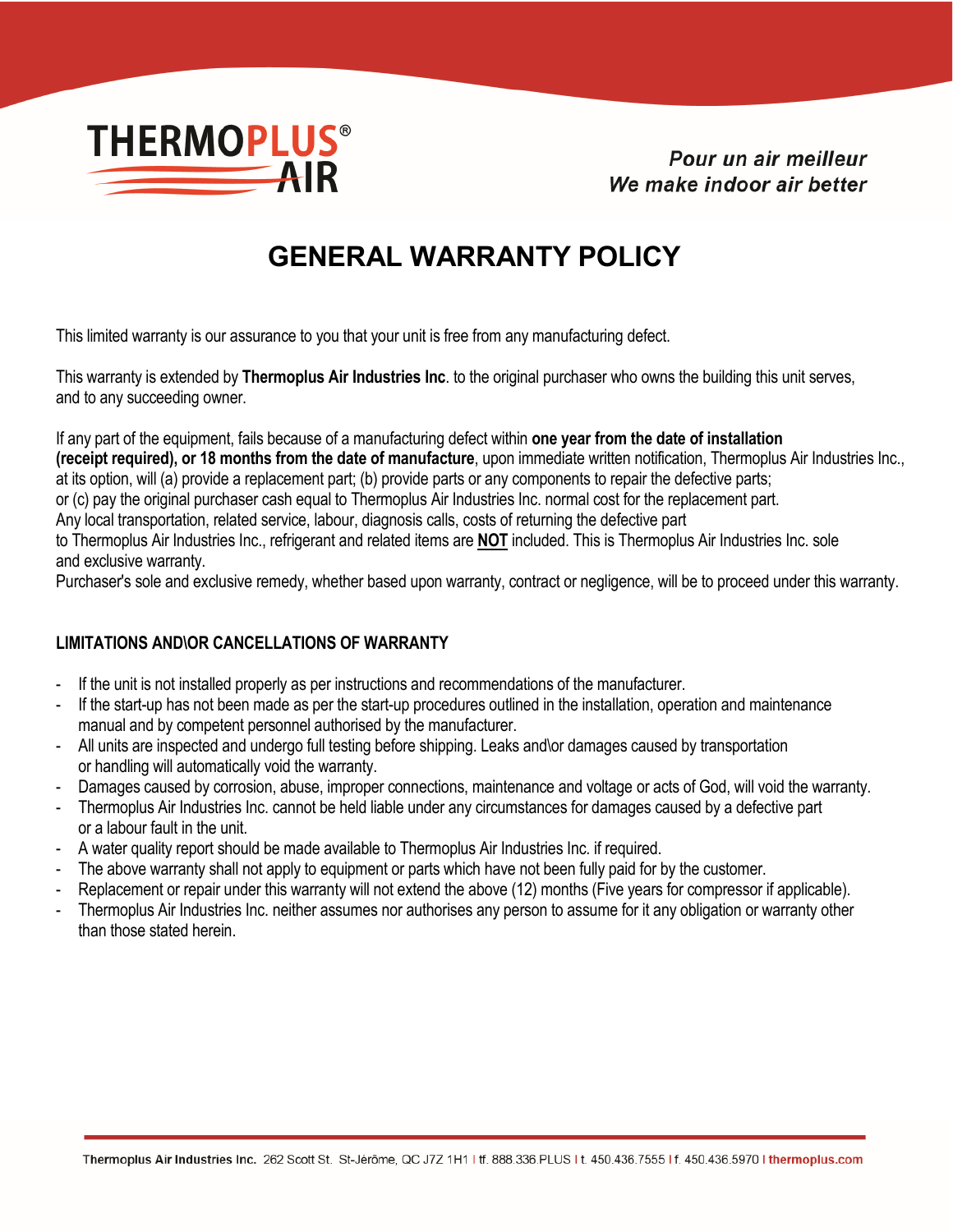

Pour un air meilleur We make indoor air better

## **GENERAL WARRANTY POLICY**

This limited warranty is our assurance to you that your unit is free from any manufacturing defect.

This warranty is extended by **Thermoplus Air Industries Inc**. to the original purchaser who owns the building this unit serves, and to any succeeding owner.

If any part of the equipment, fails because of a manufacturing defect within **one year from the date of installation (receipt required), or 18 months from the date of manufacture**, upon immediate written notification, Thermoplus Air Industries Inc., at its option, will (a) provide a replacement part; (b) provide parts or any components to repair the defective parts; or (c) pay the original purchaser cash equal to Thermoplus Air Industries Inc. normal cost for the replacement part.

Any local transportation, related service, labour, diagnosis calls, costs of returning the defective part

to Thermoplus Air Industries Inc., refrigerant and related items are **NOT** included. This is Thermoplus Air Industries Inc. sole and exclusive warranty.

Purchaser's sole and exclusive remedy, whether based upon warranty, contract or negligence, will be to proceed under this warranty.

## **LIMITATIONS AND\OR CANCELLATIONS OF WARRANTY**

- If the unit is not installed properly as per instructions and recommendations of the manufacturer.
- If the start-up has not been made as per the start-up procedures outlined in the installation, operation and maintenance manual and by competent personnel authorised by the manufacturer.
- All units are inspected and undergo full testing before shipping. Leaks and\or damages caused by transportation or handling will automatically void the warranty.
- Damages caused by corrosion, abuse, improper connections, maintenance and voltage or acts of God, will void the warranty.
- Thermoplus Air Industries Inc. cannot be held liable under any circumstances for damages caused by a defective part or a labour fault in the unit.
- A water quality report should be made available to Thermoplus Air Industries Inc. if required.
- The above warranty shall not apply to equipment or parts which have not been fully paid for by the customer.
- Replacement or repair under this warranty will not extend the above (12) months (Five years for compressor if applicable).
- Thermoplus Air Industries Inc. neither assumes nor authorises any person to assume for it any obligation or warranty other than those stated herein.